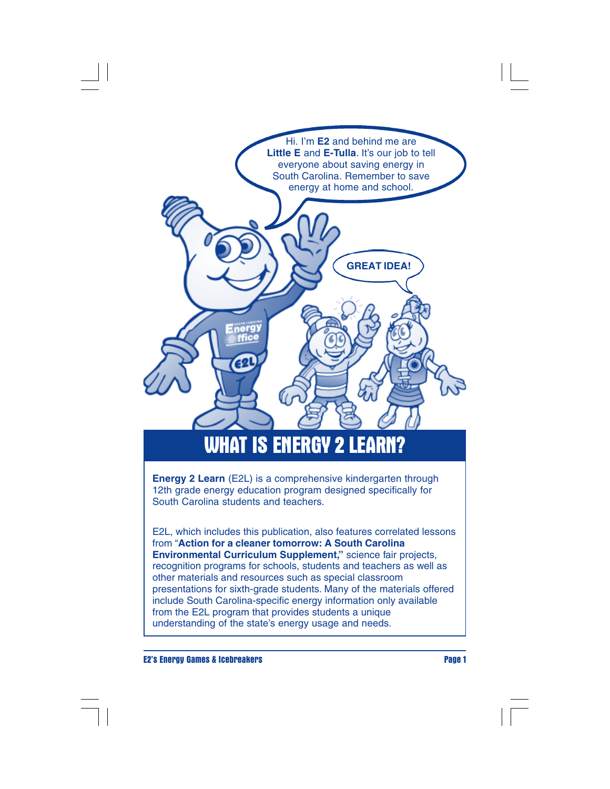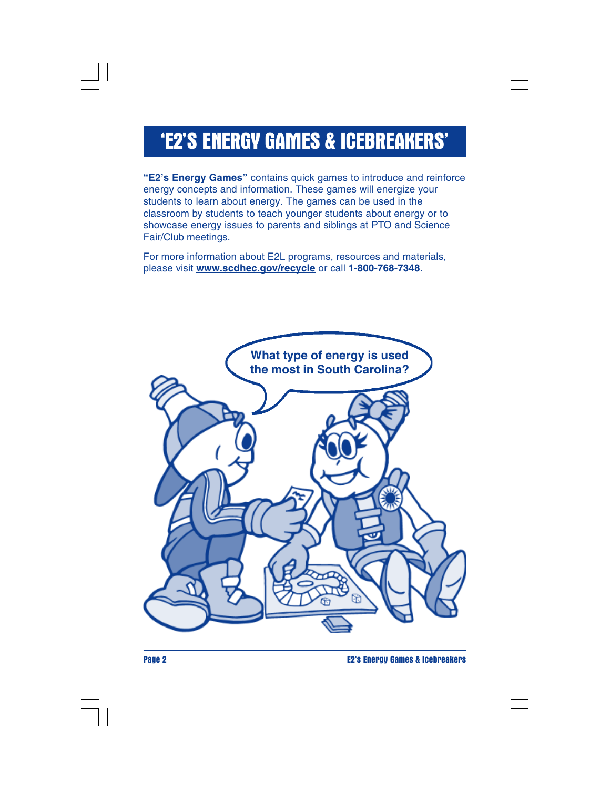## **'E2'S ENERGY GAMES & ICEBREAKERS'**

**"E2's Energy Games"** contains quick games to introduce and reinforce energy concepts and information. These games will energize your students to learn about energy. The games can be used in the classroom by students to teach younger students about energy or to showcase energy issues to parents and siblings at PTO and Science Fair/Club meetings.

For more information about E2L programs, resources and materials, please visit **www.scdhec.gov/recycle** or call **1-800-768-7348**.



**Page 2 E2's Energy Games & Icebreakers**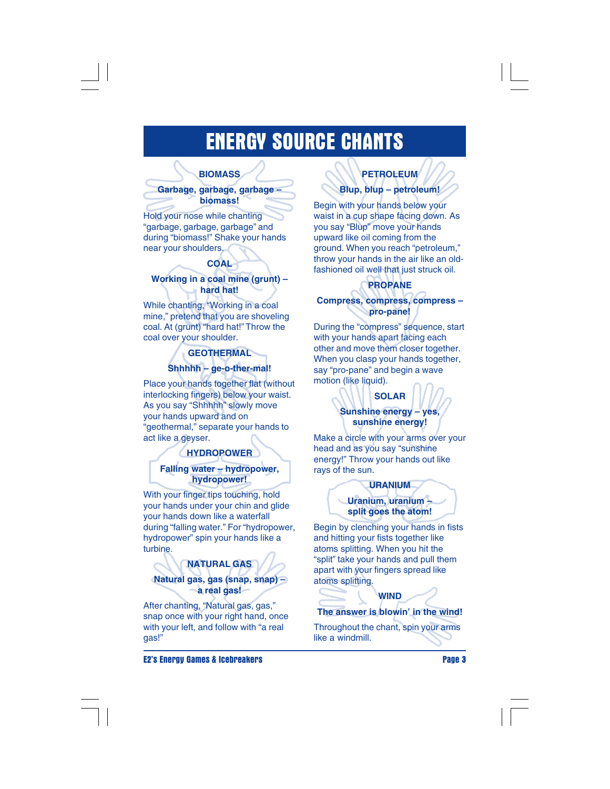## **ENERGY SOURCE CHANTS**

#### **BIOMASS**

**Garbage, garbage, garbage – biomass!**

Hold your nose while chanting "garbage, garbage, garbage" and during "biomass!" Shake your hands near your shoulders.

### **COAL**

#### **Working in a coal mine (grunt) – hard hat!**

While chanting, "Working in a coal mine," pretend that you are shoveling coal. At (grunt) "hard hat!" Throw the coal over your shoulder.

### **GEOTHERMAL Shhhhh – ge-o-ther-mal!**

Place your hands together flat (without interlocking fingers) below your waist. As you say "Shhhhh" slowly move your hands upward and on "geothermal," separate your hands to act like a geyser.

#### **HYDROPOWER**

**Falling water – hydropower, hydropower!**

With your finger tips touching, hold your hands under your chin and glide your hands down like a waterfall during "falling water." For "hydropower, hydropower" spin your hands like a turbine.

### **NATURAL GAS Natural gas, gas (snap, snap) – a real gas!**

After chanting, "Natural gas, gas," snap once with your right hand, once with your left, and follow with "a real gas!"

**E2's Energy Games & Icebreakers Page 3**

## **PETROLEUM Blup, blup – petroleum!**

Begin with your hands below your waist in a cup shape facing down. As you say "Blup" move your hands upward like oil coming from the ground. When you reach "petroleum," throw your hands in the air like an oldfashioned oil well that just struck oil.

#### **PROPANE**

**Compress, compress, compress – pro-pane!**

During the "compress" sequence, start with your hands apart facing each other and move them closer together. When you clasp your hands together, say "pro-pane" and begin a wave motion (like liquid).

### **SOLAR Sunshine energy – yes, sunshine energy!**

Make a circle with your arms over your head and as you say "sunshine energy!" Throw your hands out like rays of the sun.



Begin by clenching your hands in fists and hitting your fists together like atoms splitting. When you hit the "split" take your hands and pull them apart with your fingers spread like atoms splitting.

## **WIND The answer is blowin' in the wind!**

Throughout the chant, spin your arms like a windmill.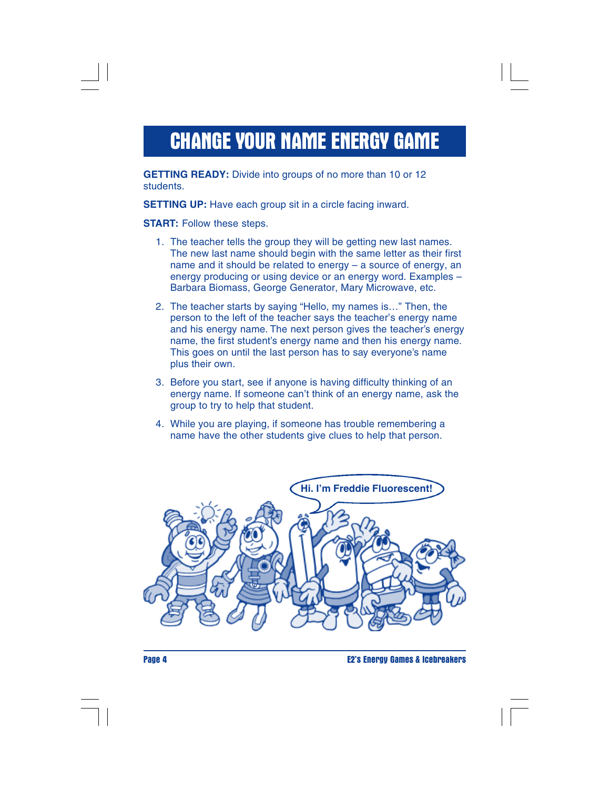# **CHANGE YOUR NAME ENERGY GAME**

**GETTING READY:** Divide into groups of no more than 10 or 12 students.

**SETTING UP:** Have each group sit in a circle facing inward.

**START:** Follow these steps.

- 1. The teacher tells the group they will be getting new last names. The new last name should begin with the same letter as their first name and it should be related to energy – a source of energy, an energy producing or using device or an energy word. Examples – Barbara Biomass, George Generator, Mary Microwave, etc.
- 2. The teacher starts by saying "Hello, my names is…" Then, the person to the left of the teacher says the teacher's energy name and his energy name. The next person gives the teacher's energy name, the first student's energy name and then his energy name. This goes on until the last person has to say everyone's name plus their own.
- 3. Before you start, see if anyone is having difficulty thinking of an energy name. If someone can't think of an energy name, ask the group to try to help that student.
- 4. While you are playing, if someone has trouble remembering a name have the other students give clues to help that person.



**Page 4 E2's Energy Games & Icebreakers**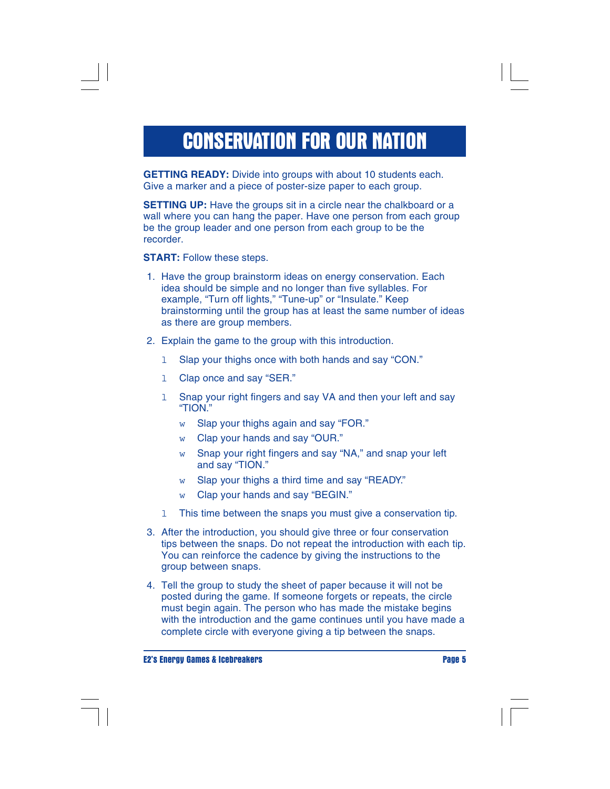# **CONSERVATION FOR OUR NATION**

**GETTING READY:** Divide into groups with about 10 students each. Give a marker and a piece of poster-size paper to each group.

**SETTING UP:** Have the groups sit in a circle near the chalkboard or a wall where you can hang the paper. Have one person from each group be the group leader and one person from each group to be the recorder.

**START:** Follow these steps.

- 1. Have the group brainstorm ideas on energy conservation. Each idea should be simple and no longer than five syllables. For example, "Turn off lights," "Tune-up" or "Insulate." Keep brainstorming until the group has at least the same number of ideas as there are group members.
- 2. Explain the game to the group with this introduction.
	- l Slap your thighs once with both hands and say "CON."
	- 1 Clap once and say "SER."
	- 1 Snap your right fingers and say VA and then your left and say "TION."
		- w Slap your thighs again and say "FOR."
		- w Clap your hands and say "OUR."
		- w Snap your right fingers and say "NA," and snap your left and say "TION."
		- w Slap your thighs a third time and say "READY."
		- w Clap your hands and say "BEGIN."
	- l This time between the snaps you must give a conservation tip.
- 3. After the introduction, you should give three or four conservation tips between the snaps. Do not repeat the introduction with each tip. You can reinforce the cadence by giving the instructions to the group between snaps.
- 4. Tell the group to study the sheet of paper because it will not be posted during the game. If someone forgets or repeats, the circle must begin again. The person who has made the mistake begins with the introduction and the game continues until you have made a complete circle with everyone giving a tip between the snaps.

**E2's Energy Games & Icebreakers Page 5**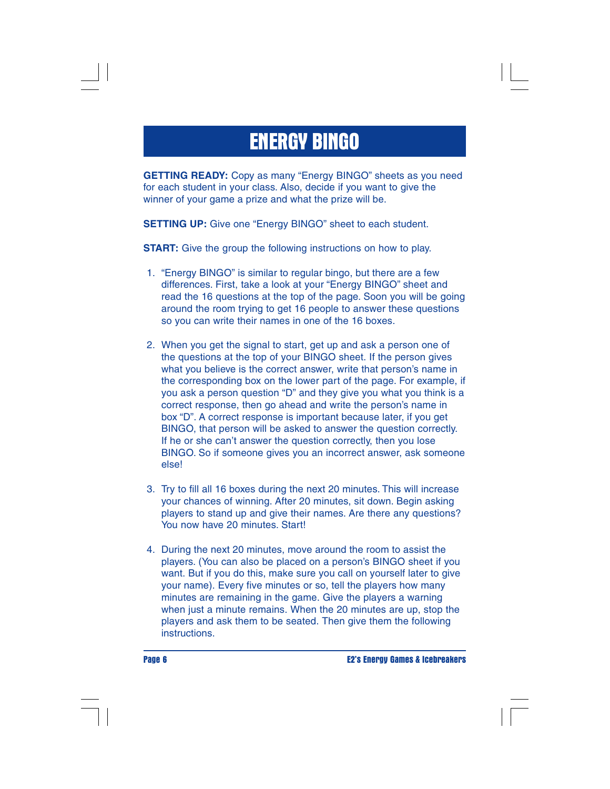# **ENERGY BINGO**

**GETTING READY:** Copy as many "Energy BINGO" sheets as you need for each student in your class. Also, decide if you want to give the winner of your game a prize and what the prize will be.

**SETTING UP:** Give one "Energy BINGO" sheet to each student.

**START:** Give the group the following instructions on how to play.

- 1. "Energy BINGO" is similar to regular bingo, but there are a few differences. First, take a look at your "Energy BINGO" sheet and read the 16 questions at the top of the page. Soon you will be going around the room trying to get 16 people to answer these questions so you can write their names in one of the 16 boxes.
- 2. When you get the signal to start, get up and ask a person one of the questions at the top of your BINGO sheet. If the person gives what you believe is the correct answer, write that person's name in the corresponding box on the lower part of the page. For example, if you ask a person question "D" and they give you what you think is a correct response, then go ahead and write the person's name in box "D". A correct response is important because later, if you get BINGO, that person will be asked to answer the question correctly. If he or she can't answer the question correctly, then you lose BINGO. So if someone gives you an incorrect answer, ask someone else!
- 3. Try to fill all 16 boxes during the next 20 minutes. This will increase your chances of winning. After 20 minutes, sit down. Begin asking players to stand up and give their names. Are there any questions? You now have 20 minutes. Start!
- 4. During the next 20 minutes, move around the room to assist the players. (You can also be placed on a person's BINGO sheet if you want. But if you do this, make sure you call on yourself later to give your name). Every five minutes or so, tell the players how many minutes are remaining in the game. Give the players a warning when just a minute remains. When the 20 minutes are up, stop the players and ask them to be seated. Then give them the following instructions.

**Page 6 E2's Energy Games & Icebreakers**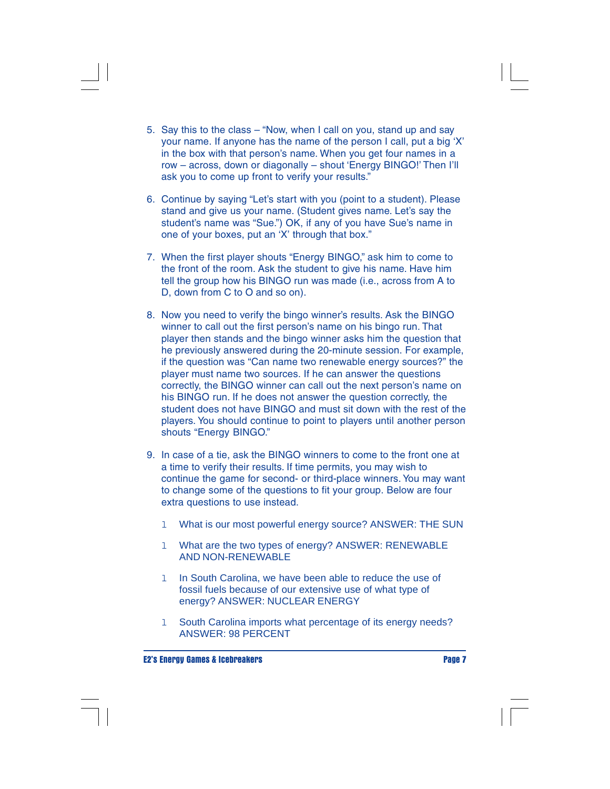- 5. Say this to the class "Now, when I call on you, stand up and say your name. If anyone has the name of the person I call, put a big 'X' in the box with that person's name. When you get four names in a row – across, down or diagonally – shout 'Energy BINGO!' Then I'll ask you to come up front to verify your results."
- 6. Continue by saying "Let's start with you (point to a student). Please stand and give us your name. (Student gives name. Let's say the student's name was "Sue.") OK, if any of you have Sue's name in one of your boxes, put an 'X' through that box."
- 7. When the first player shouts "Energy BINGO," ask him to come to the front of the room. Ask the student to give his name. Have him tell the group how his BINGO run was made (i.e., across from A to D, down from C to O and so on).
- 8. Now you need to verify the bingo winner's results. Ask the BINGO winner to call out the first person's name on his bingo run. That player then stands and the bingo winner asks him the question that he previously answered during the 20-minute session. For example, if the question was "Can name two renewable energy sources?" the player must name two sources. If he can answer the questions correctly, the BINGO winner can call out the next person's name on his BINGO run. If he does not answer the question correctly, the student does not have BINGO and must sit down with the rest of the players. You should continue to point to players until another person shouts "Energy BINGO."
- 9. In case of a tie, ask the BINGO winners to come to the front one at a time to verify their results. If time permits, you may wish to continue the game for second- or third-place winners. You may want to change some of the questions to fit your group. Below are four extra questions to use instead.
	- 1 What is our most powerful energy source? ANSWER: THE SUN
	- l What are the two types of energy? ANSWER: RENEWABLE AND NON-RENEWABLE
	- 1 In South Carolina, we have been able to reduce the use of fossil fuels because of our extensive use of what type of energy? ANSWER: NUCLEAR ENERGY
	- 1 South Carolina imports what percentage of its energy needs? ANSWER: 98 PERCENT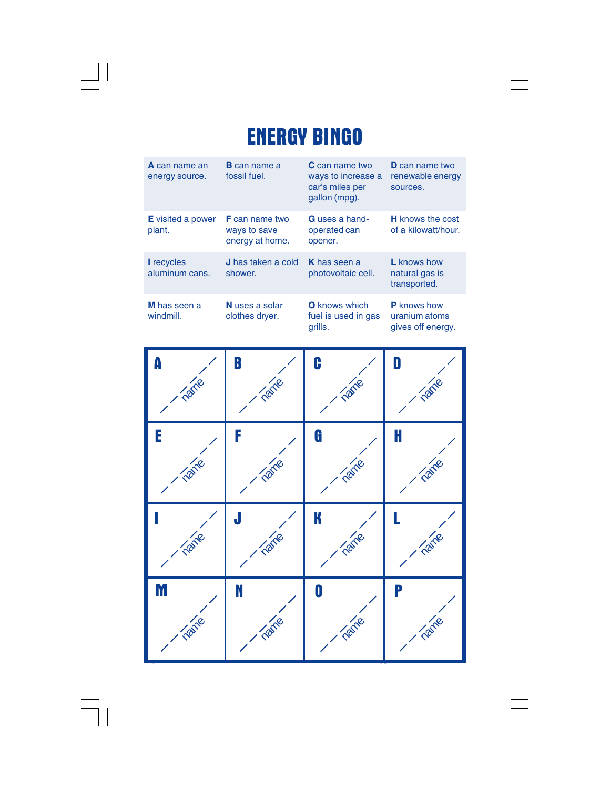# **ENERGY BINGO**

 $\sqrt{\frac{1}{\Gamma}}$ 

 $\mathrel{\underline{\sqcup}}$ 

 $\overline{\overline{\mathbb{u}}}$ 

| <b>A</b> can name an<br>energy source. | <b>B</b> can name a<br>fossil fuel.                      | <b>C</b> can name two<br>ways to increase a<br>car's miles per<br>gallon (mpg). | <b>D</b> can name two<br>renewable energy<br>sources.    |
|----------------------------------------|----------------------------------------------------------|---------------------------------------------------------------------------------|----------------------------------------------------------|
| <b>E</b> visited a power<br>plant.     | <b>F</b> can name two<br>ways to save<br>energy at home. | <b>G</b> uses a hand-<br>operated can<br>opener.                                | <b>H</b> knows the cost<br>of a kilowatt/hour.           |
| <b>I</b> recycles<br>aluminum cans.    | <b>J</b> has taken a cold<br>shower.                     | <b>K</b> has seen a<br>photovoltaic cell.                                       | L knows how<br>natural gas is<br>transported.            |
| M has seen a<br>windmill.              | N uses a solar<br>clothes dryer.                         | <b>O</b> knows which<br>fuel is used in gas<br>grills.                          | <b>P</b> knows how<br>uranium atoms<br>gives off energy. |

| A    | B          | C         | D            |
|------|------------|-----------|--------------|
| Tame | Tame       | Tame      | Tame         |
| E    | F          | G         | H            |
| Tame | Tame       | Tame      | Tame         |
| name | J<br>name. | K<br>Tame | <b>Tarle</b> |
| M    | Ń          | O         | P            |
| Tame | name       | Tame      | Tame         |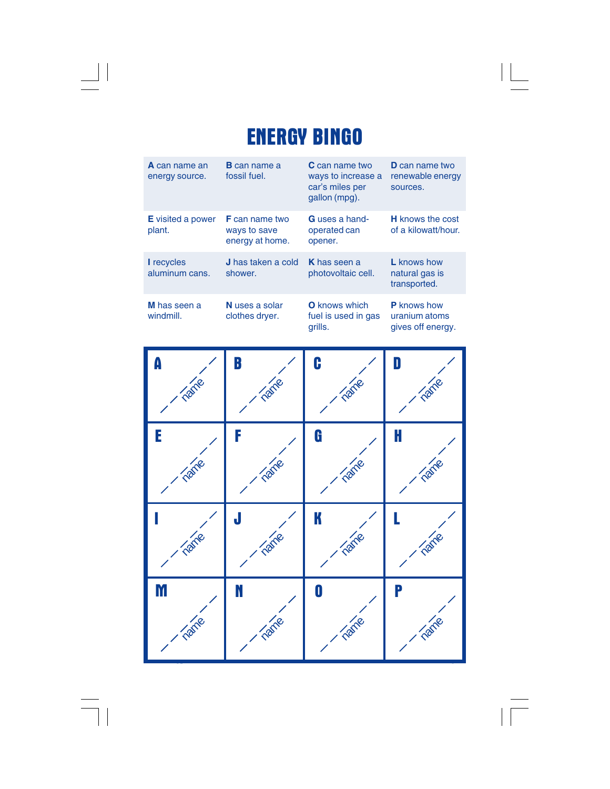# **ENERGY BINGO**

 $\begin{tabular}{c} \hline \rule{0pt}{2ex} \rule{0pt}{2ex} \rule{0pt}{2ex} \rule{0pt}{2ex} \rule{0pt}{2ex} \rule{0pt}{2ex} \rule{0pt}{2ex} \rule{0pt}{2ex} \rule{0pt}{2ex} \rule{0pt}{2ex} \rule{0pt}{2ex} \rule{0pt}{2ex} \rule{0pt}{2ex} \rule{0pt}{2ex} \rule{0pt}{2ex} \rule{0pt}{2ex} \rule{0pt}{2ex} \rule{0pt}{2ex} \rule{0pt}{2ex} \rule{0pt}{2ex} \rule{0pt}{2ex} \rule{0pt}{2ex} \rule{0pt}{2ex} \rule$ 

 $\begin{array}{c} \hline \hline \hline \hline \hline \hline \end{array}$ 

 $\mathrel{\underline{\sqcup}}$ 

 $\frac{1}{\sqrt{2\pi}}$ 

| <b>A</b> can name an<br>energy source. | <b>B</b> can name a<br>fossil fuel.                      | <b>C</b> can name two<br>ways to increase a<br>car's miles per<br>gallon (mpg). | <b>D</b> can name two<br>renewable energy<br>sources.    |
|----------------------------------------|----------------------------------------------------------|---------------------------------------------------------------------------------|----------------------------------------------------------|
| <b>E</b> visited a power<br>plant.     | <b>F</b> can name two<br>ways to save<br>energy at home. | G uses a hand-<br>operated can<br>opener.                                       | <b>H</b> knows the cost<br>of a kilowatt/hour.           |
| <b>I</b> recycles<br>aluminum cans.    | <b>J</b> has taken a cold<br>shower.                     | <b>K</b> has seen a<br>photovoltaic cell.                                       | <b>L</b> knows how<br>natural gas is<br>transported.     |
| M has seen a<br>windmill.              | N uses a solar<br>clothes dryer.                         | <b>O</b> knows which<br>fuel is used in gas<br>grills.                          | <b>P</b> knows how<br>uranium atoms<br>gives off energy. |

| A    | B         | C                | D    |
|------|-----------|------------------|------|
| Tame | Tame      | Tame             | Tame |
| E    | F         | G                | ł    |
| Tame | Tame      | Tame             | Tame |
| nane | J<br>Tame | K<br>Tame        | Tame |
| M    | Ń         | $\boldsymbol{0}$ | P    |
| name | name      | Tame             | Tame |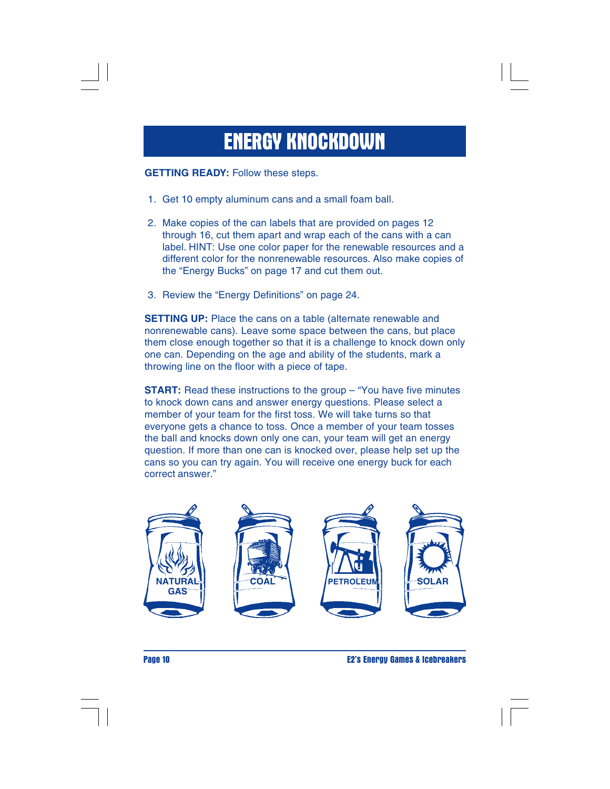# **ENERGY KNOCKDOWN**

**GETTING READY:** Follow these steps.

- 1. Get 10 empty aluminum cans and a small foam ball.
- 2. Make copies of the can labels that are provided on pages 12 through 16, cut them apart and wrap each of the cans with a can label. HINT: Use one color paper for the renewable resources and a different color for the nonrenewable resources. Also make copies of the "Energy Bucks" on page 17 and cut them out.
- 3. Review the "Energy Definitions" on page 24.

**SETTING UP:** Place the cans on a table (alternate renewable and nonrenewable cans). Leave some space between the cans, but place them close enough together so that it is a challenge to knock down only one can. Depending on the age and ability of the students, mark a throwing line on the floor with a piece of tape.

**START:** Read these instructions to the group – "You have five minutes to knock down cans and answer energy questions. Please select a member of your team for the first toss. We will take turns so that everyone gets a chance to toss. Once a member of your team tosses the ball and knocks down only one can, your team will get an energy question. If more than one can is knocked over, please help set up the cans so you can try again. You will receive one energy buck for each correct answer."



**Page 10 E2's Energy Games & Icebreakers**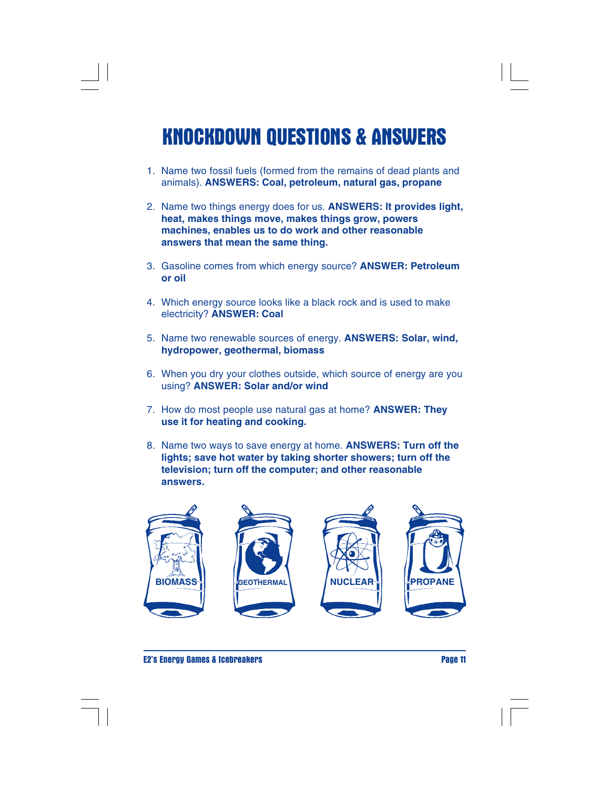# **KNOCKDOWN QUESTIONS & ANSWERS**

- 1. Name two fossil fuels (formed from the remains of dead plants and animals). **ANSWERS: Coal, petroleum, natural gas, propane**
- 2. Name two things energy does for us. **ANSWERS: It provides light, heat, makes things move, makes things grow, powers machines, enables us to do work and other reasonable answers that mean the same thing.**
- 3. Gasoline comes from which energy source? **ANSWER: Petroleum or oil**
- 4. Which energy source looks like a black rock and is used to make electricity? **ANSWER: Coal**
- 5. Name two renewable sources of energy. **ANSWERS: Solar, wind, hydropower, geothermal, biomass**
- 6. When you dry your clothes outside, which source of energy are you using? **ANSWER: Solar and/or wind**
- 7. How do most people use natural gas at home? **ANSWER: They use it for heating and cooking.**
- 8. Name two ways to save energy at home. **ANSWERS: Turn off the lights; save hot water by taking shorter showers; turn off the television; turn off the computer; and other reasonable answers.**



**E2's Energy Games & Icebreakers Page 11**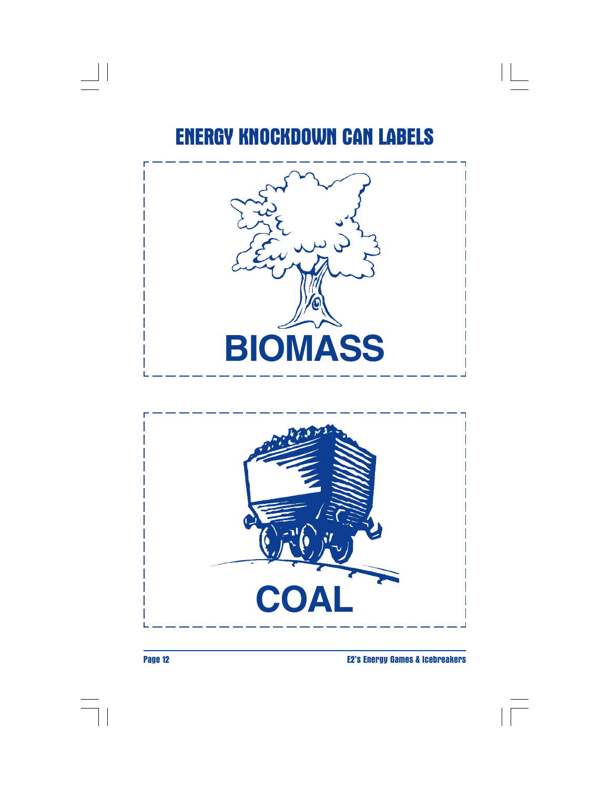$\lfloor \lfloor$ 







 $\begin{array}{c|c|c|c} & \multicolumn{3}{c|}{\phantom{-}} & \multicolumn{3}{c|}{\phantom{-}} \\ \multicolumn{3}{c|}{\phantom{-}} & \multicolumn{3}{c|}{\phantom{-}} & \multicolumn{3}{c|}{\phantom{-}} \\ \multicolumn{3}{c|}{\phantom{-}} & \multicolumn{3}{c|}{\phantom{-}} & \multicolumn{3}{c|}{\phantom{-}} \\ \multicolumn{3}{c|}{\phantom{-}} & \multicolumn{3}{c|}{\phantom{-}} & \multicolumn{3}{c|}{\phantom{-}} \\ \multicolumn{3}{c|}{\phantom{-}} & \multicolumn{3}{c|}{\phantom{-$ 

**Page 12 E2's Energy Games & Icebreakers**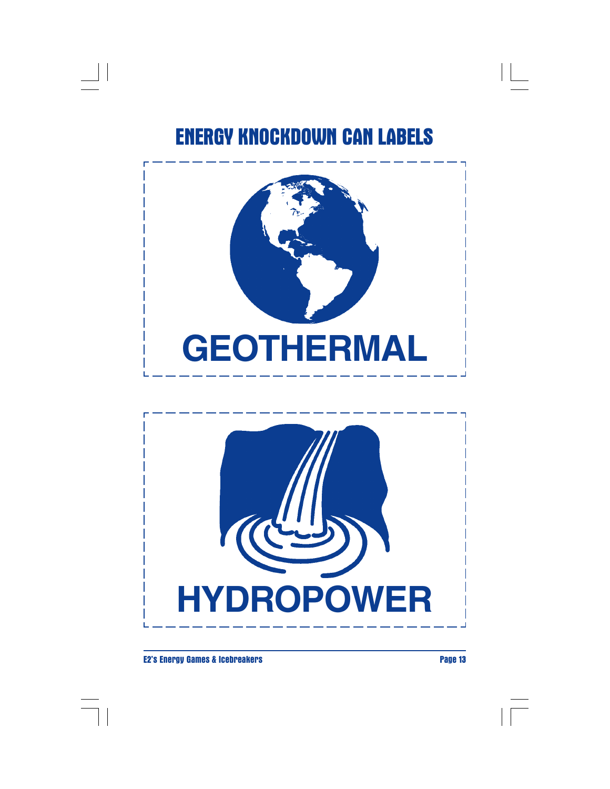$\begin{array}{c|c|c|c|c} \hline \quad \quad & \quad & \quad \quad & \quad \quad \\ \hline \quad \quad & \quad & \quad \quad & \quad \quad \\ \hline \end{array}$ 





#### **E2's Energy Games & Icebreakers Page 13**

 $\Box$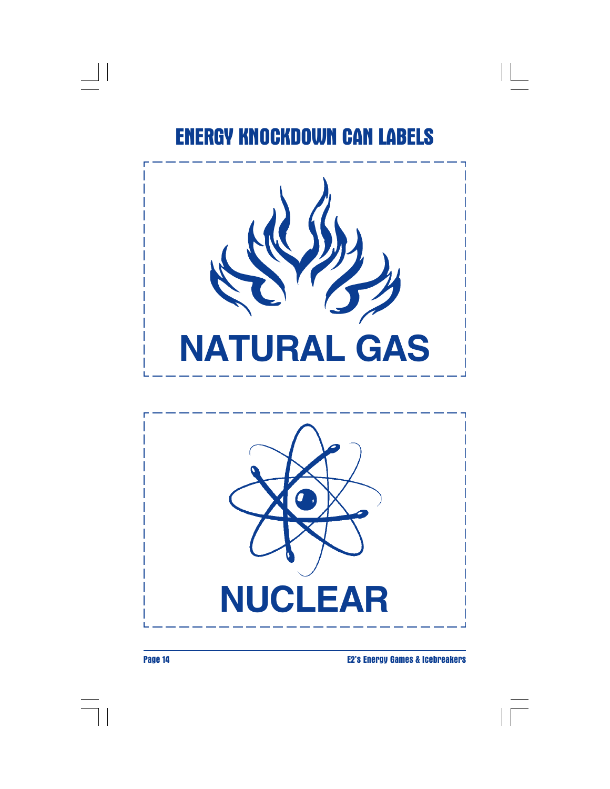$\Box$ 





 $\begin{array}{c|c} \hline \quad \quad & \quad \quad & \quad \quad \\ \hline \quad \quad & \quad \quad & \quad \quad \\ \hline \end{array}$ 

**Page 14 E2's Energy Games & Icebreakers**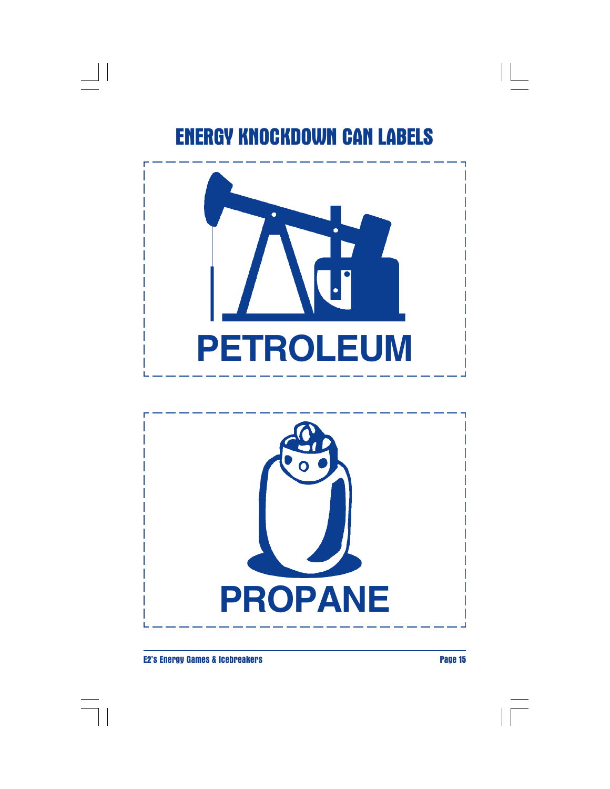$\begin{array}{c|c|c|c} \hline \quad \quad & \quad \quad & \quad \quad & \quad \quad \\ \hline \end{array}$ 





#### **E2's Energy Games & Icebreakers Page 15**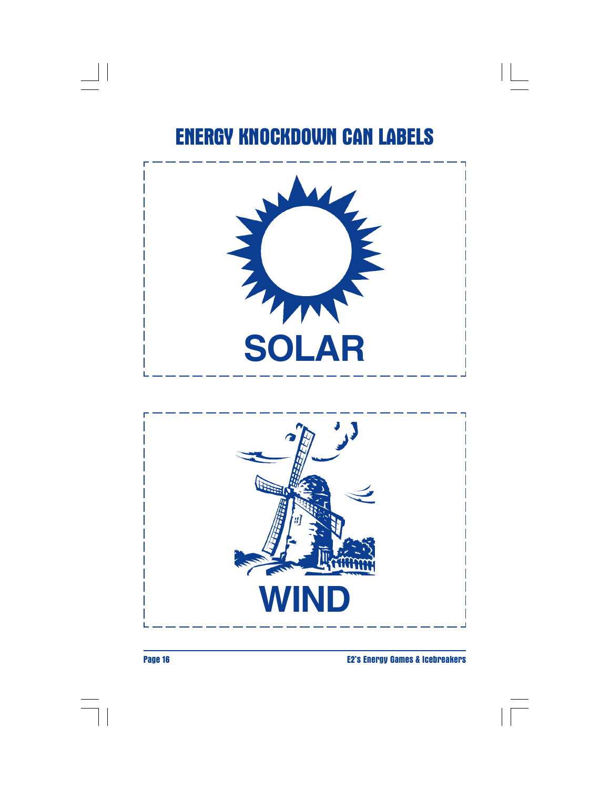



 $\begin{array}{|c|c|} \hline \quad \quad & \quad \quad \\ \hline \quad \quad & \quad \quad \\ \hline \end{array}$ 

**Page 16 E2's Energy Games & Icebreakers**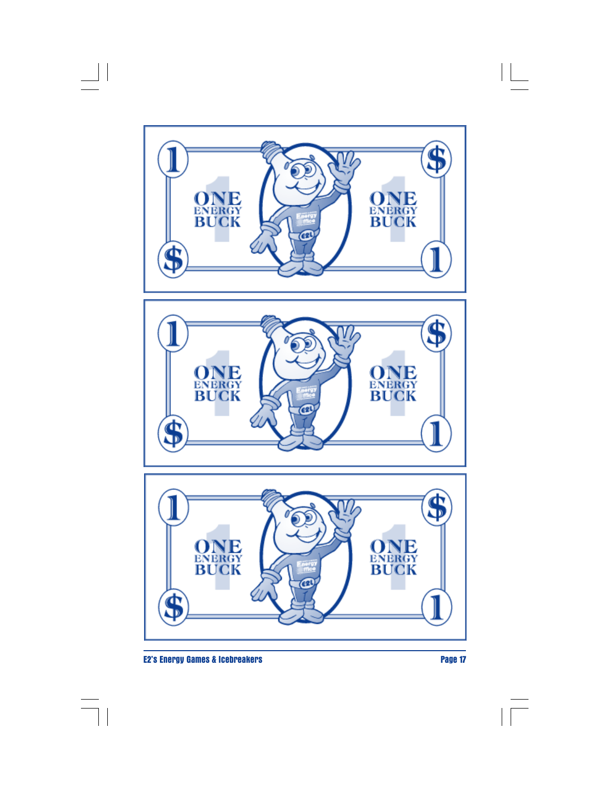

 $\overline{\phantom{a}}$ 

 $\begin{array}{c|c|c|c|c} & \multicolumn{3}{c|}{\phantom{-}}\\ \multicolumn{3}{c|}{\phantom{-}} & \multicolumn{3}{c|}{\phantom{-}}\\ \multicolumn{3}{c|}{\phantom{-}} & \multicolumn{3}{c|}{\phantom{-}}\\ \multicolumn{3}{c|}{\phantom{-}} & \multicolumn{3}{c|}{\phantom{-}}\\ \multicolumn{3}{c|}{\phantom{-}} & \multicolumn{3}{c|}{\phantom{-}}\\ \multicolumn{3}{c|}{\phantom{-}} & \multicolumn{3}{c|}{\phantom{-}}\\ \multicolumn{3}{c|}{\phantom{-}} & \multicolumn{3}{c|}{\phant$ 

 $\frac{1}{\sqrt{1-\frac{1}{2}}}$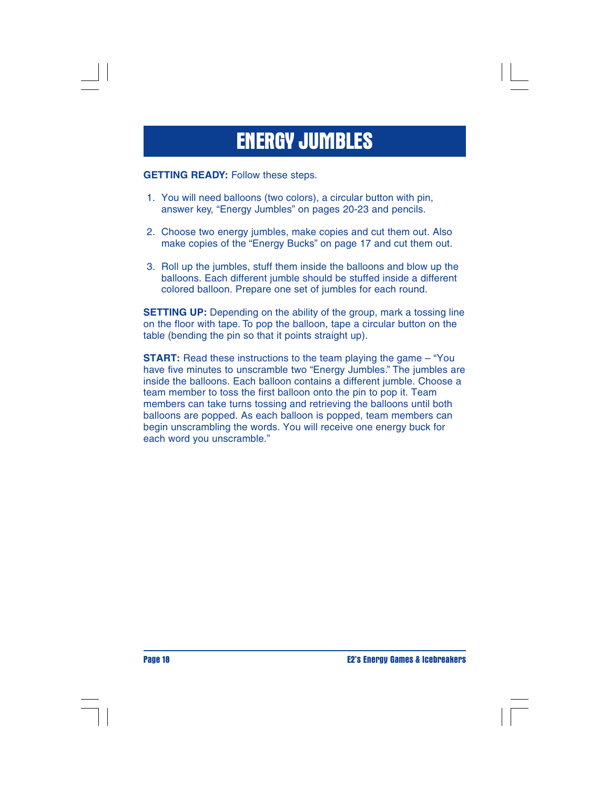# **ENERGY JUMBLES**

**GETTING READY:** Follow these steps.

- 1. You will need balloons (two colors), a circular button with pin, answer key, "Energy Jumbles" on pages 20-23 and pencils.
- 2. Choose two energy jumbles, make copies and cut them out. Also make copies of the "Energy Bucks" on page 17 and cut them out.
- 3. Roll up the jumbles, stuff them inside the balloons and blow up the balloons. Each different jumble should be stuffed inside a different colored balloon. Prepare one set of jumbles for each round.

**SETTING UP:** Depending on the ability of the group, mark a tossing line on the floor with tape. To pop the balloon, tape a circular button on the table (bending the pin so that it points straight up).

**START:** Read these instructions to the team playing the game – "You have five minutes to unscramble two "Energy Jumbles." The jumbles are inside the balloons. Each balloon contains a different jumble. Choose a team member to toss the first balloon onto the pin to pop it. Team members can take turns tossing and retrieving the balloons until both balloons are popped. As each balloon is popped, team members can begin unscrambling the words. You will receive one energy buck for each word you unscramble."

**Page 18 E2's Energy Games & Icebreakers**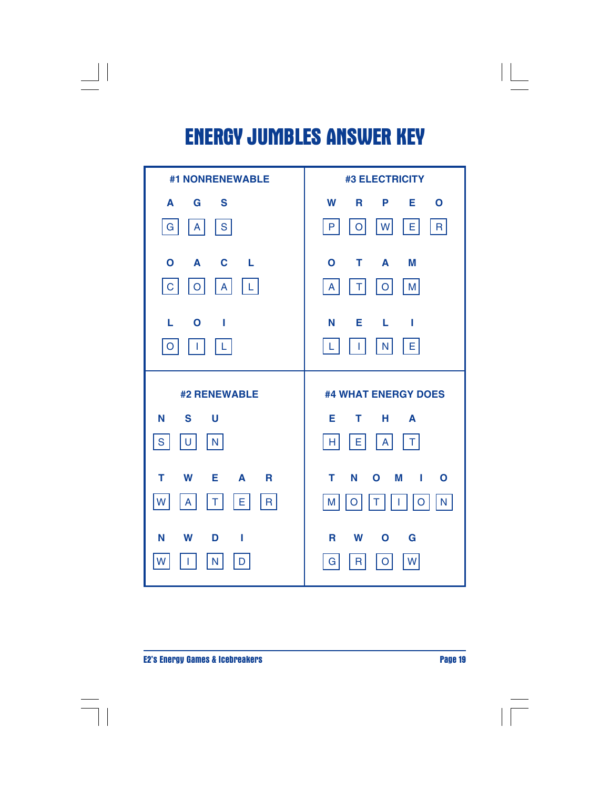# **ENERGY JUMBLES ANSWER KEY**

 $\begin{array}{c|c|c|c|c} \hline \quad \quad & \quad \quad & \quad \quad & \quad \quad \\ \hline \end{array}$ 



**E2's Energy Games & Icebreakers Page 19** 

 $\mathbf{L}$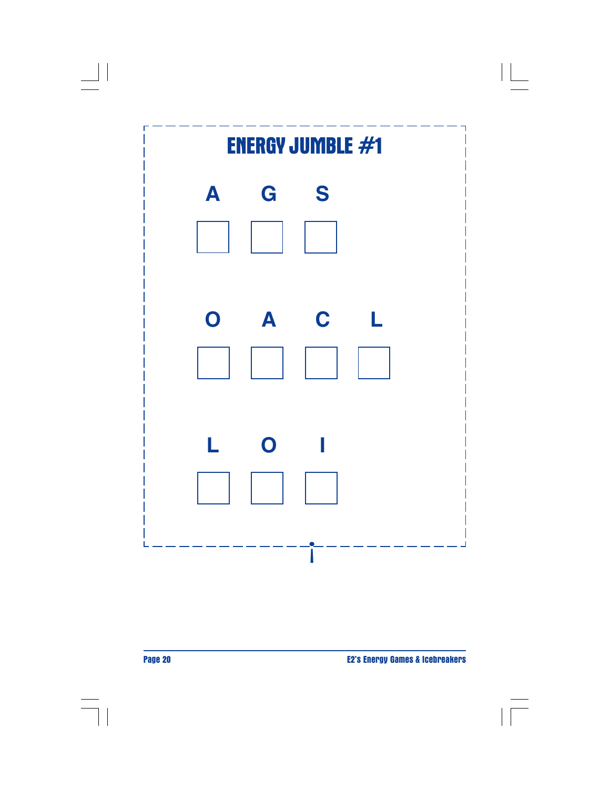



 $\Box$ 

**Page 20 E2's Energy Games & Icebreakers**

 $\vert\,\vert$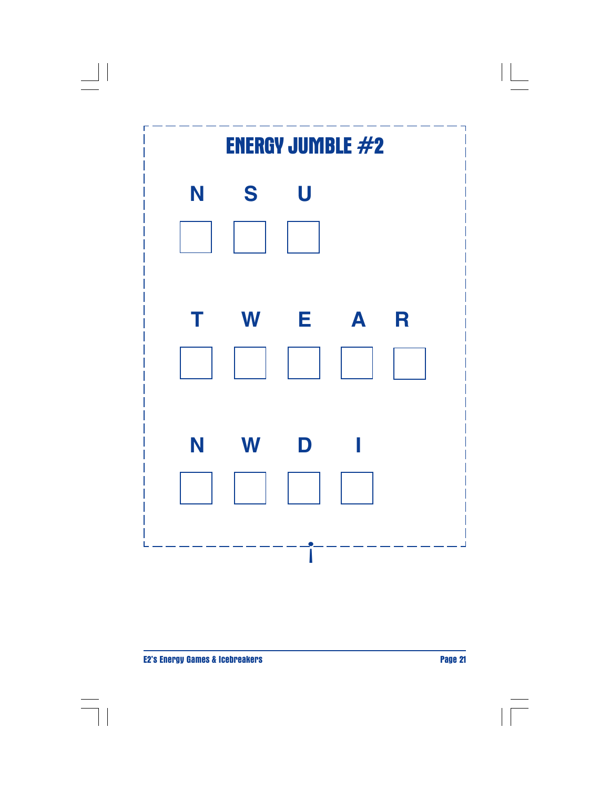

 $\Box$ 

 $\Box$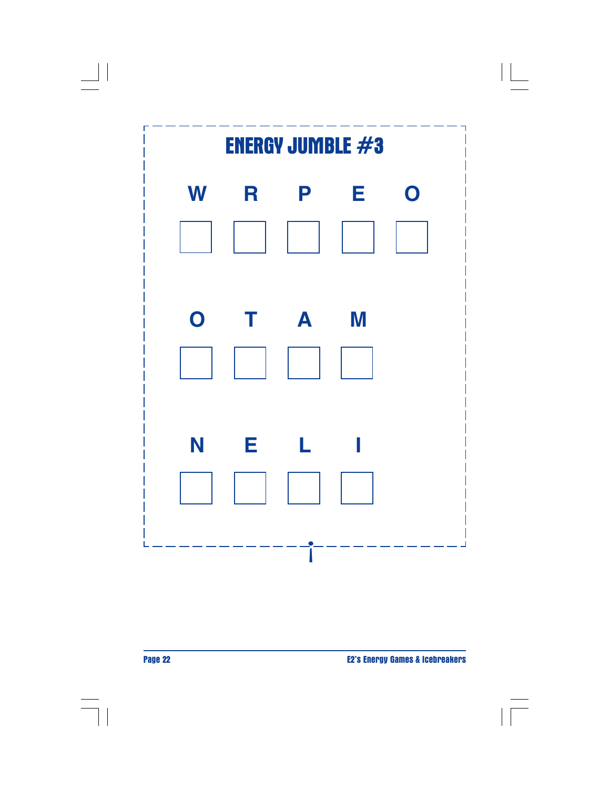



 $\Box$ 

**Page 22 E2's Energy Games & Icebreakers**

 $\vert\,\vert$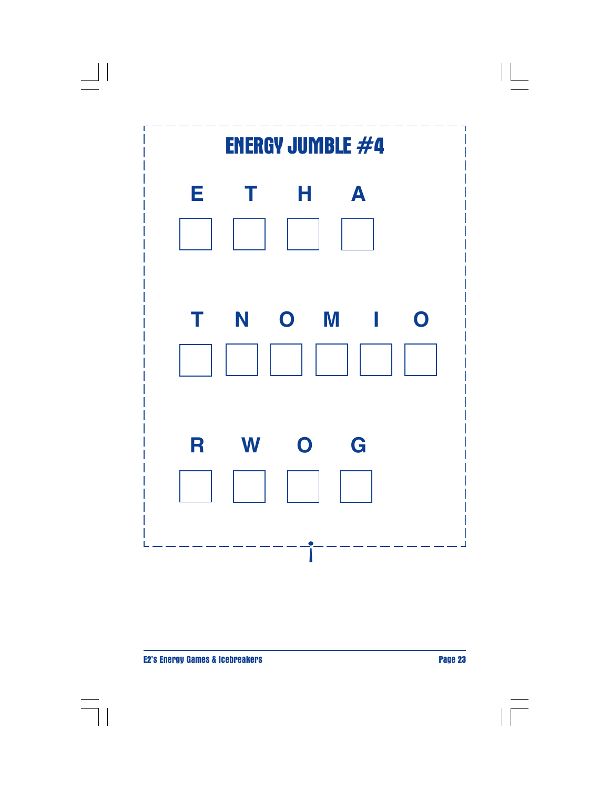

 $\Box$ 

 $\Box$